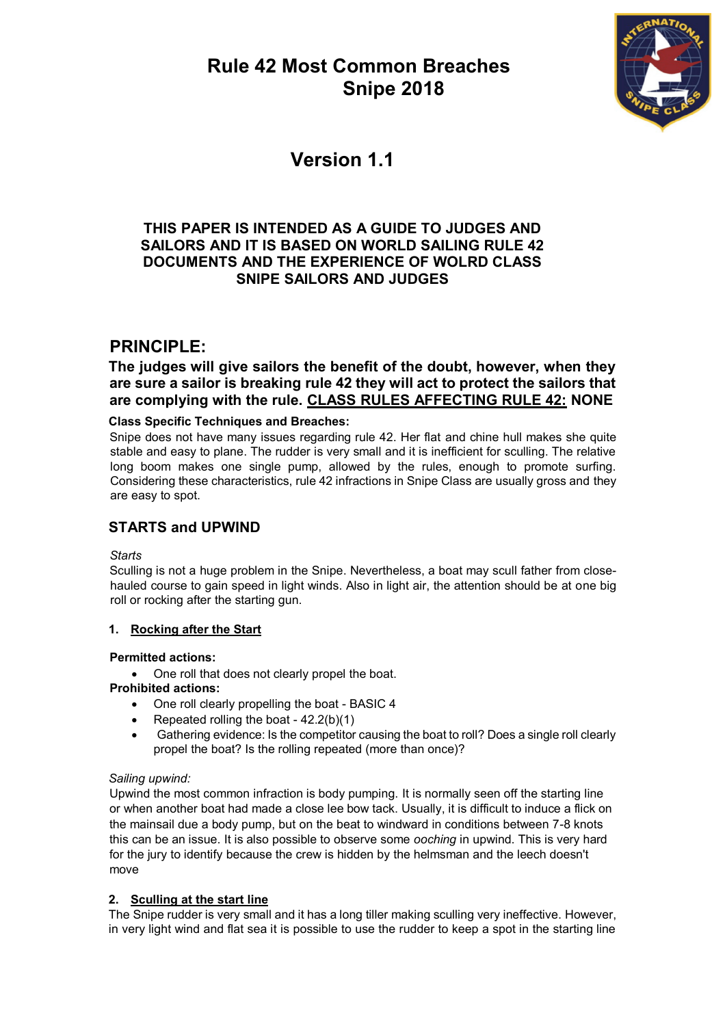

# **Version 1.1**

## **THIS PAPER IS INTENDED AS A GUIDE TO JUDGES AND SAILORS AND IT IS BASED ON WORLD SAILING RULE 42 DOCUMENTS AND THE EXPERIENCE OF WOLRD CLASS SNIPE SAILORS AND JUDGES**

## **PRINCIPLE:**

**The judges will give sailors the benefit of the doubt, however, when they are sure a sailor is breaking rule 42 they will act to protect the sailors that are complying with the rule. CLASS RULES AFFECTING RULE 42: NONE**

## **Class Specific Techniques and Breaches:**

Snipe does not have many issues regarding rule 42. Her flat and chine hull makes she quite stable and easy to plane. The rudder is very small and it is inefficient for sculling. The relative long boom makes one single pump, allowed by the rules, enough to promote surfing. Considering these characteristics, rule 42 infractions in Snipe Class are usually gross and they are easy to spot.

## **STARTS and UPWIND**

*Starts*

Sculling is not a huge problem in the Snipe. Nevertheless, a boat may scull father from closehauled course to gain speed in light winds. Also in light air, the attention should be at one big roll or rocking after the starting gun.

## **1. Rocking after the Start**

## **Permitted actions:**

• One roll that does not clearly propel the boat.

## **Prohibited actions:**

- One roll clearly propelling the boat BASIC 4
- Repeated rolling the boat 42.2(b)(1)
- Gathering evidence: Is the competitor causing the boat to roll? Does a single roll clearly propel the boat? Is the rolling repeated (more than once)?

## *Sailing upwind:*

Upwind the most common infraction is body pumping. It is normally seen off the starting line or when another boat had made a close lee bow tack. Usually, it is difficult to induce a flick on the mainsail due a body pump, but on the beat to windward in conditions between 7-8 knots this can be an issue. It is also possible to observe some *ooching* in upwind. This is very hard for the jury to identify because the crew is hidden by the helmsman and the leech doesn't move

## **2. Sculling at the start line**

The Snipe rudder is very small and it has a long tiller making sculling very ineffective. However, in very light wind and flat sea it is possible to use the rudder to keep a spot in the starting line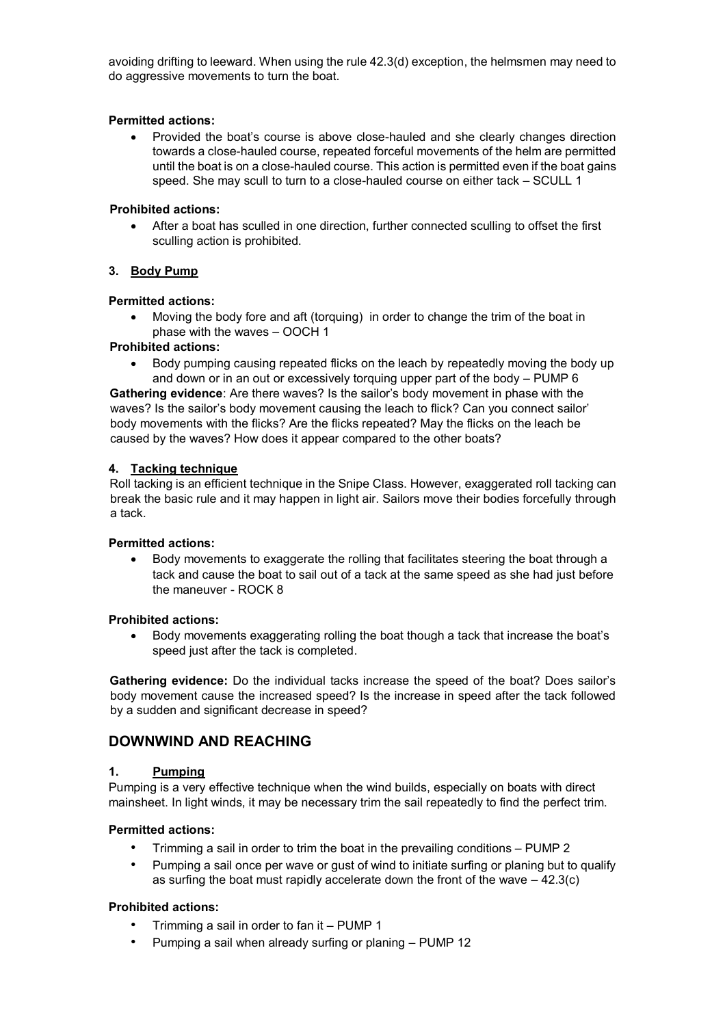avoiding drifting to leeward. When using the rule 42.3(d) exception, the helmsmen may need to do aggressive movements to turn the boat.

#### **Permitted actions:**

 Provided the boat's course is above close-hauled and she clearly changes direction towards a close-hauled course, repeated forceful movements of the helm are permitted until the boat is on a close-hauled course. This action is permitted even if the boat gains speed. She may scull to turn to a close-hauled course on either tack – SCULL 1

#### **Prohibited actions:**

 After a boat has sculled in one direction, further connected sculling to offset the first sculling action is prohibited.

#### **3. Body Pump**

#### **Permitted actions:**

 Moving the body fore and aft (torquing) in order to change the trim of the boat in phase with the waves – OOCH 1

#### **Prohibited actions:**

• Body pumping causing repeated flicks on the leach by repeatedly moving the body up and down or in an out or excessively torquing upper part of the body – PUMP 6

**Gathering evidence**: Are there waves? Is the sailor's body movement in phase with the waves? Is the sailor's body movement causing the leach to flick? Can you connect sailor' body movements with the flicks? Are the flicks repeated? May the flicks on the leach be caused by the waves? How does it appear compared to the other boats?

#### **4. Tacking technique**

Roll tacking is an efficient technique in the Snipe Class. However, exaggerated roll tacking can break the basic rule and it may happen in light air. Sailors move their bodies forcefully through a tack.

#### **Permitted actions:**

 Body movements to exaggerate the rolling that facilitates steering the boat through a tack and cause the boat to sail out of a tack at the same speed as she had just before the maneuver - ROCK 8

#### **Prohibited actions:**

 Body movements exaggerating rolling the boat though a tack that increase the boat's speed just after the tack is completed.

**Gathering evidence:** Do the individual tacks increase the speed of the boat? Does sailor's body movement cause the increased speed? Is the increase in speed after the tack followed by a sudden and significant decrease in speed?

### **DOWNWIND AND REACHING**

#### **1. Pumping**

Pumping is a very effective technique when the wind builds, especially on boats with direct mainsheet. In light winds, it may be necessary trim the sail repeatedly to find the perfect trim.

#### **Permitted actions:**

- Trimming a sail in order to trim the boat in the prevailing conditions PUMP 2
- Pumping a sail once per wave or gust of wind to initiate surfing or planing but to qualify as surfing the boat must rapidly accelerate down the front of the wave  $-42.3(c)$

#### **Prohibited actions:**

- Trimming a sail in order to fan it PUMP 1
- Pumping a sail when already surfing or planing PUMP 12